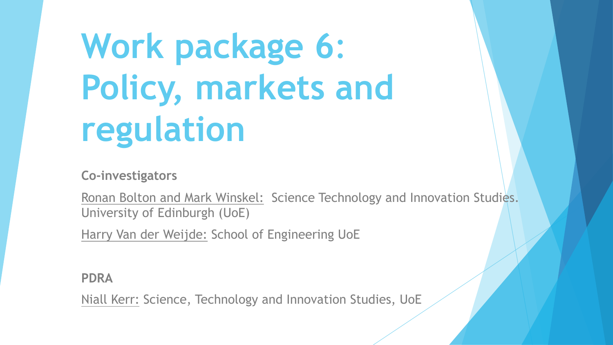**Work package 6**: **Policy, markets and regulation**

**Co-investigators**

Ronan Bolton and Mark Winskel: Science Technology and Innovation Studies. University of Edinburgh (UoE)

Harry Van der Weijde: School of Engineering UoE

**PDRA**

Niall Kerr: Science, Technology and Innovation Studies, UoE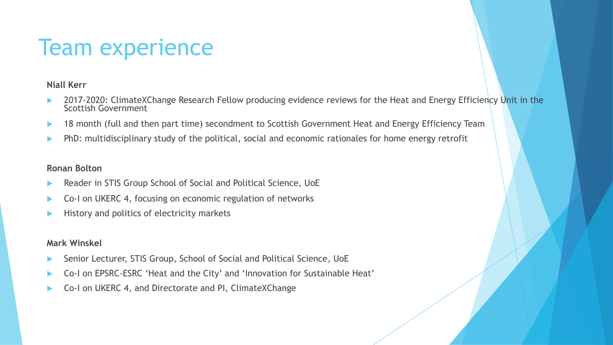## Team experience

#### **Niall Kerr**

- 2017-2020: ClimateXChange Research Fellow producing evidence reviews for the Heat and Energy Efficiency Unit in the<br>Scottish Government
- 18 month (full and then part time) secondment to Scottish Government Heat and Energy Efficiency Team
- PhD: multidisciplinary study of the political, social and economic rationales for home energy retrofit

#### **Ronan Bolton**

- Reader in STIS Group School of Social and Political Science, UoE
- Co-I on UKERC 4, focusing on economic regulation of networks
- History and politics of electricity markets

#### **Mark Winskel**

- Senior Lecturer, STIS Group, School of Social and Political Science, UoE
- Co-I on EPSRC-ESRC 'Heat and the City' and 'Innovation for Sustainable Heat'
- Co-I on UKERC 4, and Directorate and PI, ClimateXChange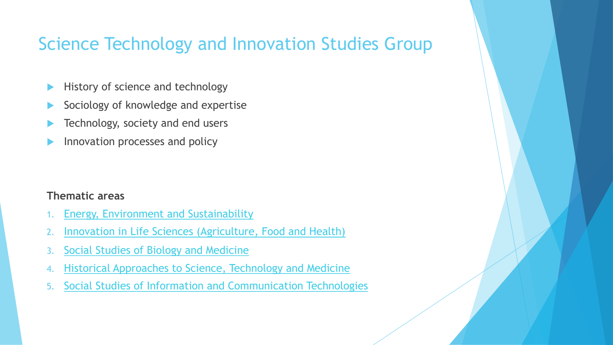### [Science Technology and Inn](https://www.sps.ed.ac.uk/research/research-themes/environment-energy-and-sustainability/)ovation Studies G

- [History of science and technology](https://www.sps.ed.ac.uk/research/research-themes/social-studies-biology-and-medicine)
- [Sociology of knowledge and expertise](https://www.sps.ed.ac.uk/research/research-themes/historical-approaches-science-and-medicine/)
- [Technology, society and end users](https://www.sps.ed.ac.uk/research/research-themes/data-and-society/)
- Innovation processes and policy

### **Thematic areas**

- 1. Energy, Environment and Sustainability
- 2. Innovation in Life Sciences (Agriculture, Food and Health)
- 3. Social Studies of Biology and Medicine
- 4. Historical Approaches to Science, Technology and Medicine
- 5. Social Studies of Information and Communication Technologies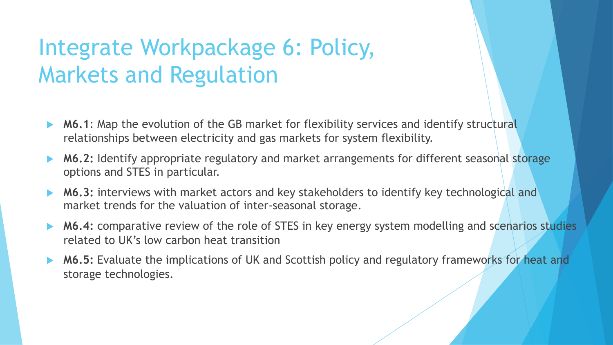# Integrate Workpackage 6: Policy, Markets and Regulation

- **M6.1:** Map the evolution of the GB market for flexibility services and identify structural relationships between electricity and gas markets for system flexibility.
- ▶ M6.2: Identify appropriate regulatory and market arrangements for different seasonal storage options and STES in particular.
- **M6.3:** interviews with market actors and key stakeholders to identify key technological and market trends for the valuation of inter-seasonal storage.
- M6.4: comparative review of the role of STES in key energy system modelling and scenarios studies related to UK's low carbon heat transition
- **► M6.5:** Evaluate the implications of UK and Scottish policy and regulatory frameworks for heat and storage technologies.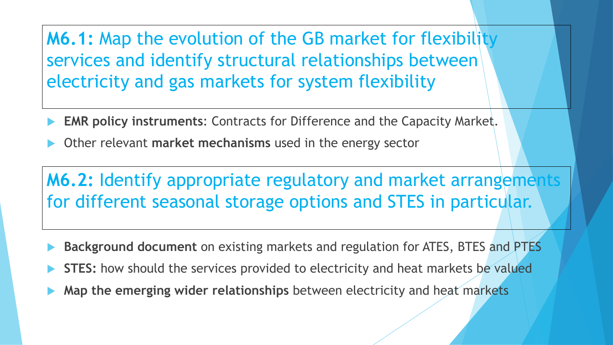**M6.1:** Map the evolution of the GB market for flexibility services and identify structural relationships between electricity and gas markets for system flexibility

- **EMR policy instruments: Contracts for Difference and the Capacity Market.**
- Other relevant **market mechanisms** used in the energy sector

**M6.2:** Identify appropriate regulatory and market arrangements for different seasonal storage options and STES in particular.

- **Background document** on existing markets and regulation for ATES, BTES and PTES
- STES: how should the services provided to electricity and heat markets be valued
- Map the emerging wider relationships between electricity and heat markets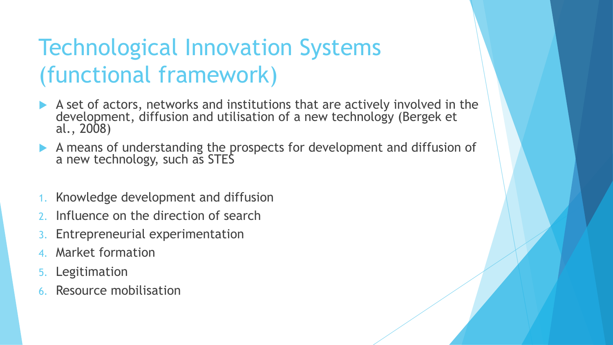# Technological Innovation Systems (functional framework)

- $\blacktriangleright$  A set of actors, networks and institutions that are actively involved in the development, diffusion and utilisation of a new technology (Bergek et al., 2008)
- A means of understanding the prospects for development and diffusion of a new technology, such as STES
- Knowledge development and diffusion
- Influence on the direction of search
- Entrepreneurial experimentation
- Market formation
- **Legitimation**
- Resource mobilisation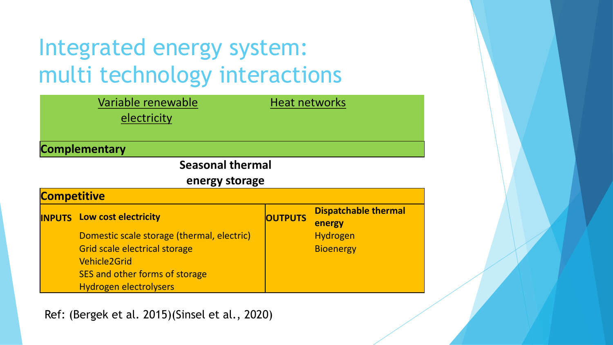# Integrated energy system: multi technology interactions

|                         | Variable renewable<br>electricity          | <b>Heat networks</b> |                                       |
|-------------------------|--------------------------------------------|----------------------|---------------------------------------|
|                         | <b>Complementary</b>                       |                      |                                       |
| <b>Seasonal thermal</b> |                                            |                      |                                       |
| energy storage          |                                            |                      |                                       |
| <b>Competitive</b>      |                                            |                      |                                       |
|                         | <b>INPUTS</b> Low cost electricity         | <b>OUTPUTS</b>       | <b>Dispatchable thermal</b><br>energy |
|                         | Domestic scale storage (thermal, electric) |                      | <b>Hydrogen</b>                       |
|                         | <b>Grid scale electrical storage</b>       |                      | <b>Bioenergy</b>                      |
|                         | <b>Vehicle2Grid</b>                        |                      |                                       |
|                         | SES and other forms of storage             |                      |                                       |
|                         | <b>Hydrogen electrolysers</b>              |                      |                                       |

Ref: (Bergek et al. 2015)(Sinsel et al., 2020)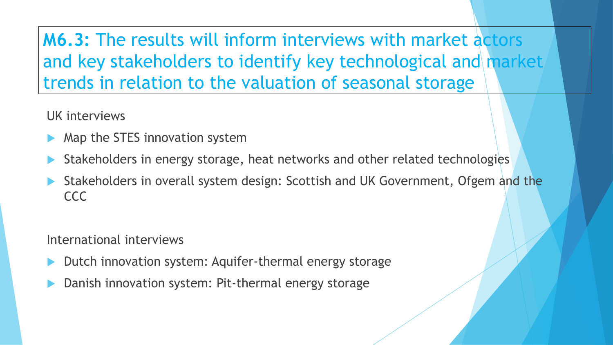**M6.3:** The results will inform interviews with market actors and key stakeholders to identify key technological and market trends in relation to the valuation of seasonal storage

UK interviews

- Map the STES innovation system
- Stakeholders in energy storage, heat networks and other related technologies
- Stakeholders in overall system design: Scottish and UK Government, Ofgem and the CCC

International interviews

- Dutch innovation system: Aquifer-thermal energy storage
- Danish innovation system: Pit-thermal energy storage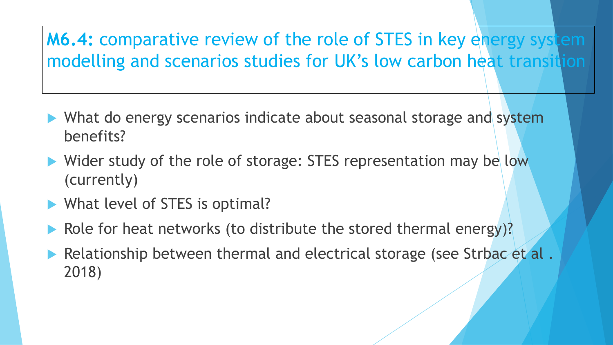### **M6.4:** comparative review of the role of STES in key energy system modelling and scenarios studies for UK's low carbon heat transition

- $\blacktriangleright$  What do energy scenarios indicate about seasonal storage and system benefits?
- $\blacktriangleright$  Wider study of the role of storage: STES representation may be low (currently)
- $\blacktriangleright$  What level of STES is optimal?
- Role for heat networks (to distribute the stored thermal energy)?
- Relationship between thermal and electrical storage (see Strbac et al. 2018)